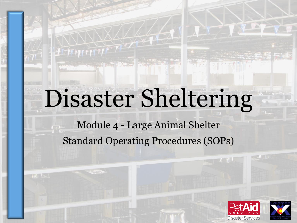# Disaster Sheltering

 $H$  which

Module 4 - Large Animal Shelter Standard Operating Procedures (SOPs)



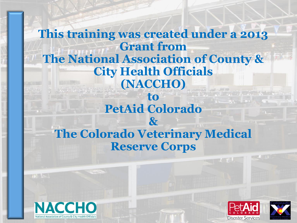#### **This training was created under a 2013 Grant from The National Association of County & City Health Officials (NACCHO) to PetAid Colorado & The Colorado Veterinary Medical**

**Reserve Corps**

**NACCHO** 



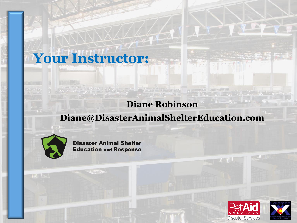#### **Diane Robinson**

#### **Diane@DisasterAnimalShelterEducation.com**



**Disaster Animal Shelter Education and Response** 

**Your Instructor:**



 $\mathcal{L}$  and

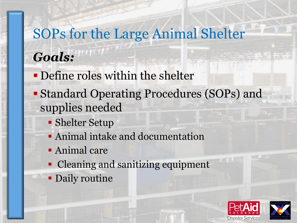# SOPs for the Large Animal Shelter *Goals:*

- Define roles within the shelter
- Standard Operating Procedures (SOPs) and supplies needed
	- Shelter Setup
	- Animal intake and documentation
	- **Animal care**
	- Cleaning and sanitizing equipment
	- **Daily routine**



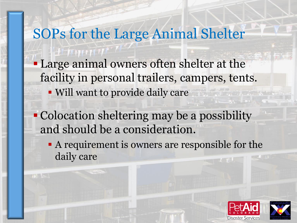### SOPs for the Large Animal Shelter

- **Large animal owners often shelter at the** facility in personal trailers, campers, tents.
	- Will want to provide daily care
- Colocation sheltering may be a possibility and should be a consideration.
	- A requirement is owners are responsible for the daily care



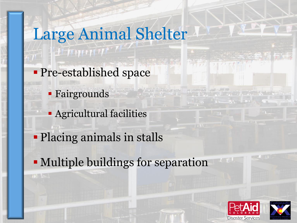- **Pre-established space** 
	- Fairgrounds

 $H$   $\mathcal{I}$   $\mathcal{I}$   $\mathcal{I}$   $\mathcal{I}$   $\mathcal{I}$   $\mathcal{I}$   $\mathcal{I}$   $\mathcal{I}$   $\mathcal{I}$   $\mathcal{I}$   $\mathcal{I}$ 

- **Agricultural facilities**
- Placing animals in stalls
- Multiple buildings for separation



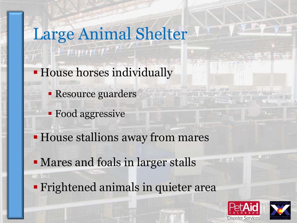- **House horses individually** 
	- **Resource guarders**
	- **Food aggressive**

**HEMMM** 

- House stallions away from mares
- Mares and foals in larger stalls
- **Fightened animals in quieter area**



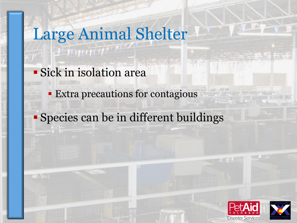Sick in isolation area

 $H$  ,  $H$  ,  $H$  ,  $H$  ,  $H$ 

- **Extra precautions for contagious**
- Species can be in different buildings



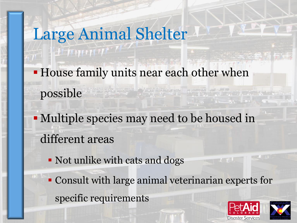- **House family units near each other when** possible
- Multiple species may need to be housed in different areas
	- Not unlike with cats and dogs
	- Consult with large animal veterinarian experts for specific requirements



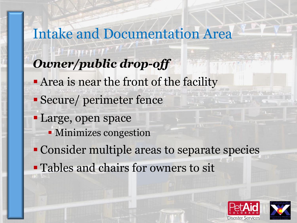Intake and Documentation Area *Owner/public drop-off* **Area is near the front of the facility**  Secure/ perimeter fence Large, open space Minimizes congestion Consider multiple areas to separate species Tables and chairs for owners to sit



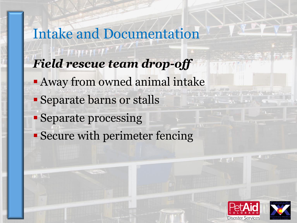Intake and Documentation *Field rescue team drop-off* **Away from owned animal intake**  Separate barns or stalls Separate processing Secure with perimeter fencing



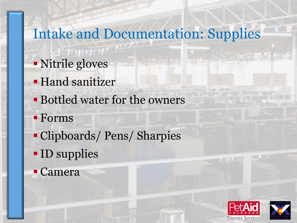# Intake and Documentation: Supplies

- Nitrile gloves
- **Hand sanitizer**
- Bottled water for the owners
- Forms
- Clipboards/ Pens/ Sharpies
- **ID** supplies
- Camera



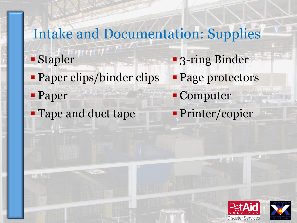#### Intake and Documentation: Supplies 3-ring Binder Page protectors Computer Printer/copier Stapler Paper clips/binder clips Paper **Tape and duct tape**



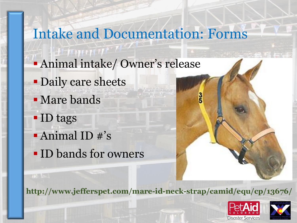Intake and Documentation: Forms Animal intake/ Owner's release **Daily care sheets Mare bands**  ID tags Animal ID #'s ID bands for owners

**http://www.jefferspet.com/mare-id-neck-strap/camid/equ/cp/13676/**



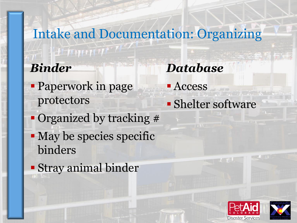Intake and Documentation: Organizing  $H^*(\mathcal{W}) \cap \mathcal{W}$ *Binder Database* **Paperwork in page - Access** protectors **- Shelter software**  Organized by tracking # • May be species specific binders Stray animal binder



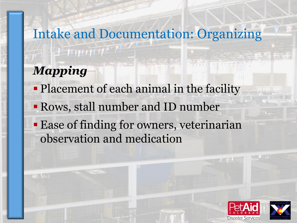# Intake and Documentation: Organizing **TIMMIN** *Mapping* • Placement of each animal in the facility

- Rows, stall number and ID number
- **Ease of finding for owners, veterinarian** observation and medication



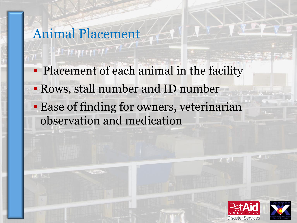### Animal Placement

HELL THE T

• Placement of each animal in the facility Rows, stall number and ID number Ease of finding for owners, veterinarian observation and medication



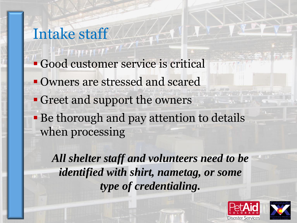# Intake staff Good customer service is critical **Owners are stressed and scared**  Greet and support the owners **Be thorough and pay attention to details** when processing

*All shelter staff and volunteers need to be identified with shirt, nametag, or some type of credentialing.*



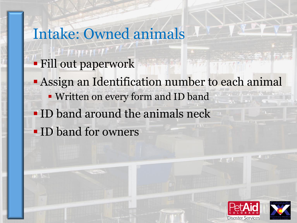### Intake: Owned animals

- Fill out paperwork
- Assign an Identification number to each animal Written on every form and ID band ID band around the animals neck **ID** band for owners



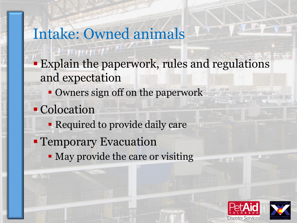# Intake: Owned animals

- **Explain the paperwork, rules and regulations** and expectation
	- Owners sign off on the paperwork
- **Colocation** 
	- **Required to provide daily care**
- **Temporary Evacuation** 
	- May provide the care or visiting

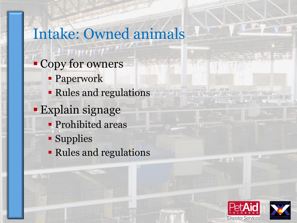## Intake: Owned animals

- Copy for owners
	- Paperwork
	- Rules and regulations
- Explain signage
	- **Prohibited areas**
	- **Supplies**
	- Rules and regulations



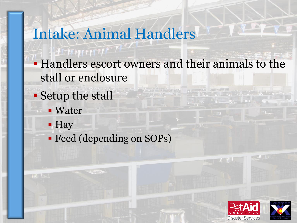## Intake: Animal Handlers

- Handlers escort owners and their animals to the stall or enclosure
- Setup the stall
	- Water
	- Hay
	- **Feed (depending on SOPs)**



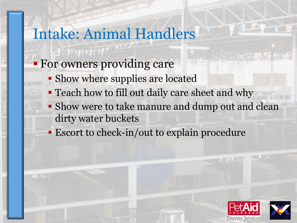## Intake: Animal Handlers

#### **For owners providing care**

- **Show where supplies are located**
- **Teach how to fill out daily care sheet and why**
- **Show were to take manure and dump out and clean** dirty water buckets
- **Escort to check-in/out to explain procedure**



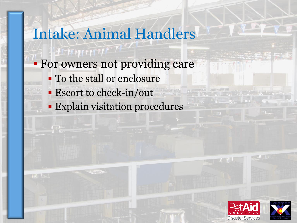### Intake: Animal Handlers

- **For owners not providing care** 
	- To the stall or enclosure
	- **Escort to check-in/out**

 $H$   $\sqrt{H}$ 

**Explain visitation procedures** 



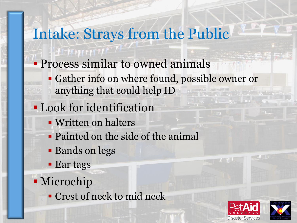# Intake: Strays from the Public

- **Process similar to owned animals** 
	- Gather info on where found, possible owner or anything that could help ID
- **Look for identification** 
	- Written on halters
	- Painted on the side of the animal
	- **Bands on legs**
	- **Ear tags**
- Microchip
	- Crest of neck to mid neck



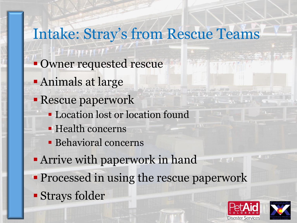# Intake: Stray's from Rescue Teams

- **Owner requested rescue**
- Animals at large
- Rescue paperwork
	- **Location lost or location found**
	- Health concerns
	- Behavioral concerns
- Arrive with paperwork in hand
- **Processed in using the rescue paperwork**
- Strays folder



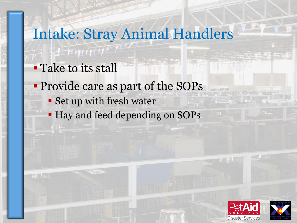# Intake: Stray Animal Handlers

- **Take to its stall**
- Provide care as part of the SOPs
	- Set up with fresh water
	- **Hay and feed depending on SOPs**



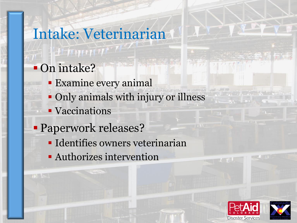# Intake: Veterinarian

### On intake?

HEAMT

- Examine every animal
- Only animals with injury or illness
- **Vaccinations**
- **Paperwork releases?** 
	- **Identifies owners veterinarian**
	- Authorizes intervention



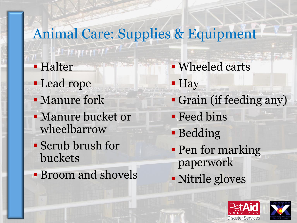#### Animal Care: Supplies & Equipment  $\pm 1$  Halter Wheeled carts **Lead rope - Hay**  Grain (if feeding any) Manure fork Manure bucket or **Feed bins** wheelbarrow Bedding Scrub brush for • Pen for marking buckets paperwork **Broom and shovels** Nitrile gloves



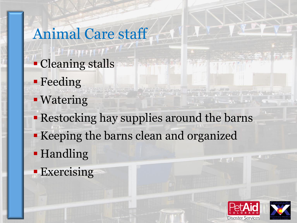# Animal Care staff **Cleaning stalls**

- **Feeding**
- **Watering**
- Restocking hay supplies around the barns
- Keeping the barns clean and organized
- **-**Handling
- **Exercising**



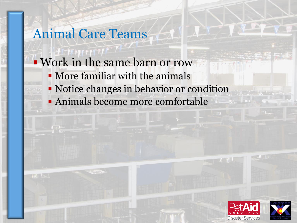#### Animal Care Teams

- Work in the same barn or row
	- More familiar with the animals
	- Notice changes in behavior or condition
	- Animals become more comfortable



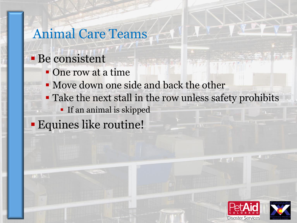#### Animal Care Teams

#### Be consistent

- One row at a time
- Move down one side and back the other
- Take the next stall in the row unless safety prohibits
	- **If an animal is skipped**

Equines like routine!



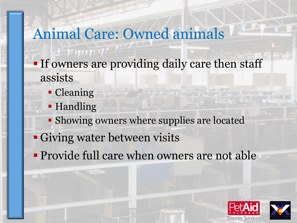# Animal Care: Owned animals

- **If owners are providing daily care then staff** assists
	- Cleaning
	- **Handling**
	- Showing owners where supplies are located
- Giving water between visits
- **Provide full care when owners are not able**



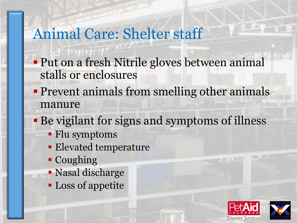## Animal Care: Shelter staff

- **Put on a fresh Nitrile gloves between animal** stalls or enclosures
- **Prevent animals from smelling other animals** manure
- Be vigilant for signs and symptoms of illness
	- Flu symptoms
	- **Elevated temperature**
	- Coughing
	- Nasal discharge
	- **Loss of appetite**



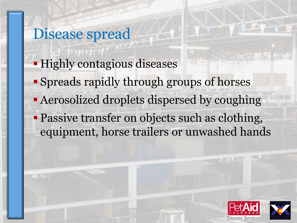Disease spread **Highly contagious diseases**  Spreads rapidly through groups of horses **- Aerosolized droplets dispersed by coughing Passive transfer on objects such as clothing,** equipment, horse trailers or unwashed hands



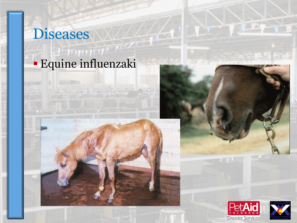# Diseases

### Equine influenzaki







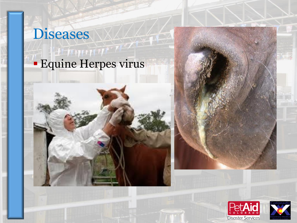# Diseases

## Equine Herpes virus

 $N$   $(1)$   $(1)$ 





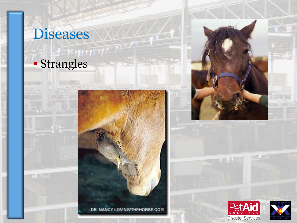

THE LES





 $L$   $\parallel$   $\parallel$ 

**DOMESTIC** 

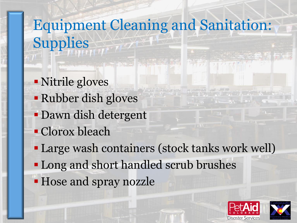# Equipment Cleaning and Sanitation: Supplies

- Nitrile gloves
- Rubber dish gloves
- Dawn dish detergent
- Clorox bleach
- Large wash containers (stock tanks work well)
- **-Long and short handled scrub brushes**
- Hose and spray nozzle



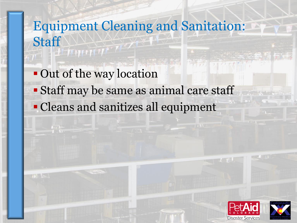# Equipment Cleaning and Sanitation: Staff

**Out of the way location**  Staff may be same as animal care staff Cleans and sanitizes all equipment



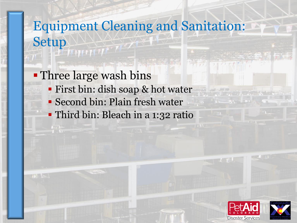# Equipment Cleaning and Sanitation: Setup

Three large wash bins

- First bin: dish soap & hot water
- Second bin: Plain fresh water
- Third bin: Bleach in a 1:32 ratio



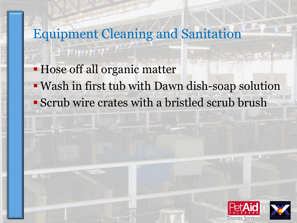# Equipment Cleaning and Sanitation  $H$  of  $H$  Hose off all organic matter Wash in first tub with Dawn dish-soap solution Scrub wire crates with a bristled scrub brush



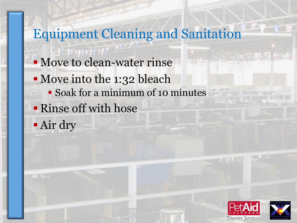# Equipment Cleaning and Sanitation Move to clean-water rinse **Move into the 1:32 bleach**  Soak for a minimum of 10 minutes Rinse off with hose Air dry



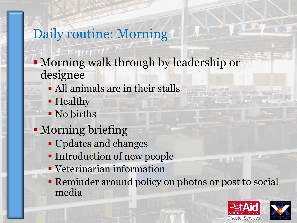### Daily routine: Morning

- Morning walk through by leadership or designee
	- All animals are in their stalls
	- **Healthy**
	- No births
- Morning briefing
	- Updates and changes
	- **Introduction of new people**
	- **Veterinarian information**
	- Reminder around policy on photos or post to social media

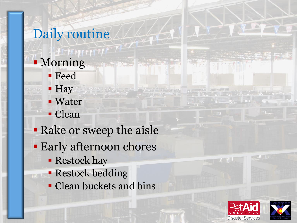# Daily routine **Morning** Feed

- Hay **- Water**
- **Clean**

#### Rake or sweep the aisle

- **Early afternoon chores** 
	- **Restock hay**
	- **Restock bedding**
	- Clean buckets and bins



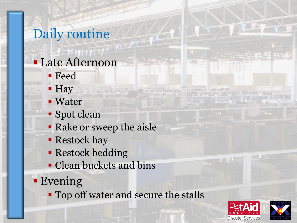# Daily routine

- Late Afternoon Feed
	- Hay
	- **Water**
	- **Spot clean**
	- **Rake or sweep the aisle**
	- **Restock hay**
	- **Restock bedding**
	- Clean buckets and bins
- Evening
	- **Top off water and secure the stalls**



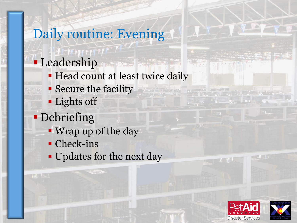### Daily routine: Evening **Leadership Head count at least twice daily**  Secure the facility **Lights off Debriefing**  Wrap up of the day • Check-ins

**Updates for the next day**